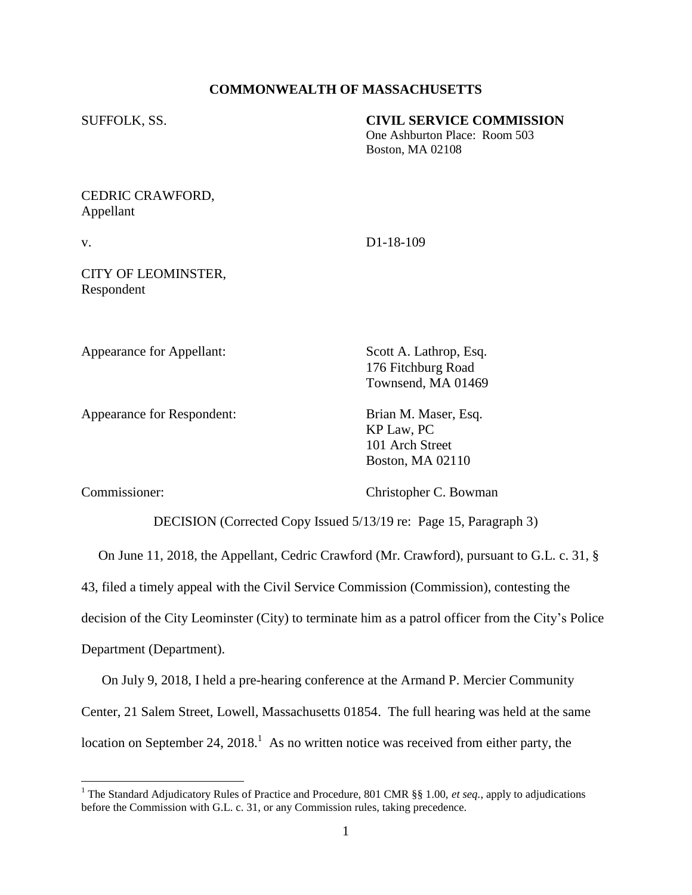### **COMMONWEALTH OF MASSACHUSETTS**

SUFFOLK, SS. **CIVIL SERVICE COMMISSION**

One Ashburton Place: Room 503 Boston, MA 02108

# CEDRIC CRAWFORD, Appellant

v. D1-18-109

# CITY OF LEOMINSTER, Respondent

Appearance for Appellant: Scott A. Lathrop, Esq.

Appearance for Respondent: Brian M. Maser, Esq.

176 Fitchburg Road Townsend, MA 01469

KP Law, PC 101 Arch Street Boston, MA 02110

Commissioner: Christopher C. Bowman

DECISION (Corrected Copy Issued 5/13/19 re: Page 15, Paragraph 3)

On June 11, 2018, the Appellant, Cedric Crawford (Mr. Crawford), pursuant to G.L. c. 31, §

43, filed a timely appeal with the Civil Service Commission (Commission), contesting the

decision of the City Leominster (City) to terminate him as a patrol officer from the City's Police

Department (Department).

 $\overline{a}$ 

 On July 9, 2018, I held a pre-hearing conference at the Armand P. Mercier Community Center, 21 Salem Street, Lowell, Massachusetts 01854. The full hearing was held at the same location on September 24,  $2018<sup>1</sup>$  As no written notice was received from either party, the

<sup>&</sup>lt;sup>1</sup> The Standard Adjudicatory Rules of Practice and Procedure, 801 CMR §§ 1.00, *et seq.*, apply to adjudications before the Commission with G.L. c. 31, or any Commission rules, taking precedence.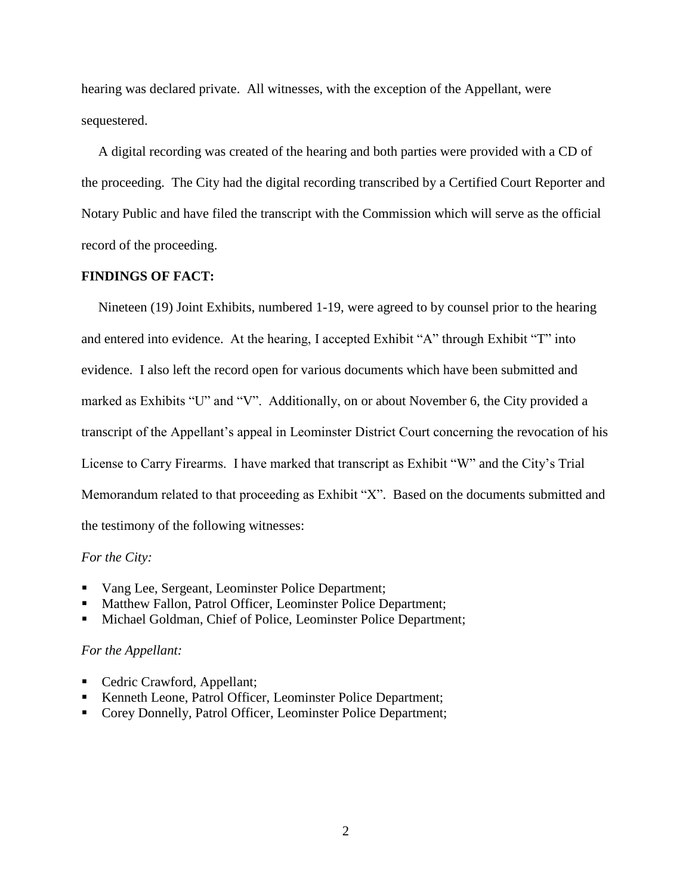hearing was declared private. All witnesses, with the exception of the Appellant, were sequestered.

 A digital recording was created of the hearing and both parties were provided with a CD of the proceeding. The City had the digital recording transcribed by a Certified Court Reporter and Notary Public and have filed the transcript with the Commission which will serve as the official record of the proceeding.

### **FINDINGS OF FACT:**

 Nineteen (19) Joint Exhibits, numbered 1-19, were agreed to by counsel prior to the hearing and entered into evidence. At the hearing, I accepted Exhibit "A" through Exhibit "T" into evidence. I also left the record open for various documents which have been submitted and marked as Exhibits "U" and "V". Additionally, on or about November 6, the City provided a transcript of the Appellant's appeal in Leominster District Court concerning the revocation of his License to Carry Firearms. I have marked that transcript as Exhibit "W" and the City's Trial Memorandum related to that proceeding as Exhibit "X". Based on the documents submitted and the testimony of the following witnesses:

### *For the City:*

- Vang Lee, Sergeant, Leominster Police Department;
- Matthew Fallon, Patrol Officer, Leominster Police Department;
- Michael Goldman, Chief of Police, Leominster Police Department;

#### *For the Appellant:*

- Cedric Crawford, Appellant;
- Kenneth Leone, Patrol Officer, Leominster Police Department;
- Corey Donnelly, Patrol Officer, Leominster Police Department;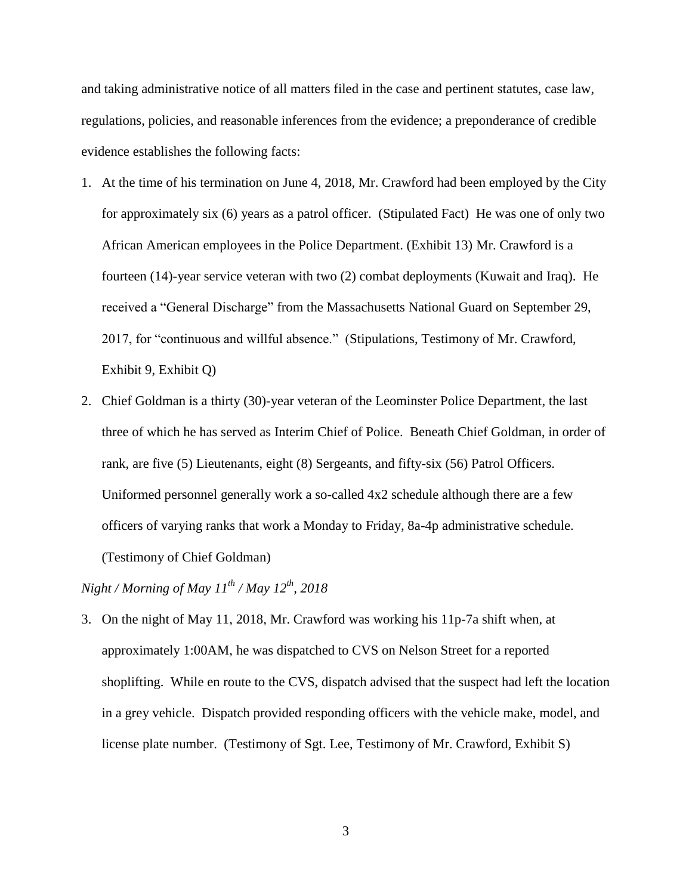and taking administrative notice of all matters filed in the case and pertinent statutes, case law, regulations, policies, and reasonable inferences from the evidence; a preponderance of credible evidence establishes the following facts:

- 1. At the time of his termination on June 4, 2018, Mr. Crawford had been employed by the City for approximately six (6) years as a patrol officer. (Stipulated Fact) He was one of only two African American employees in the Police Department. (Exhibit 13) Mr. Crawford is a fourteen (14)-year service veteran with two (2) combat deployments (Kuwait and Iraq). He received a "General Discharge" from the Massachusetts National Guard on September 29, 2017, for "continuous and willful absence." (Stipulations, Testimony of Mr. Crawford, Exhibit 9, Exhibit Q)
- 2. Chief Goldman is a thirty (30)-year veteran of the Leominster Police Department, the last three of which he has served as Interim Chief of Police. Beneath Chief Goldman, in order of rank, are five (5) Lieutenants, eight (8) Sergeants, and fifty-six (56) Patrol Officers. Uniformed personnel generally work a so-called 4x2 schedule although there are a few officers of varying ranks that work a Monday to Friday, 8a-4p administrative schedule. (Testimony of Chief Goldman)

*Night / Morning of May 11th / May 12th, 2018*

3. On the night of May 11, 2018, Mr. Crawford was working his 11p-7a shift when, at approximately 1:00AM, he was dispatched to CVS on Nelson Street for a reported shoplifting. While en route to the CVS, dispatch advised that the suspect had left the location in a grey vehicle. Dispatch provided responding officers with the vehicle make, model, and license plate number. (Testimony of Sgt. Lee, Testimony of Mr. Crawford, Exhibit S)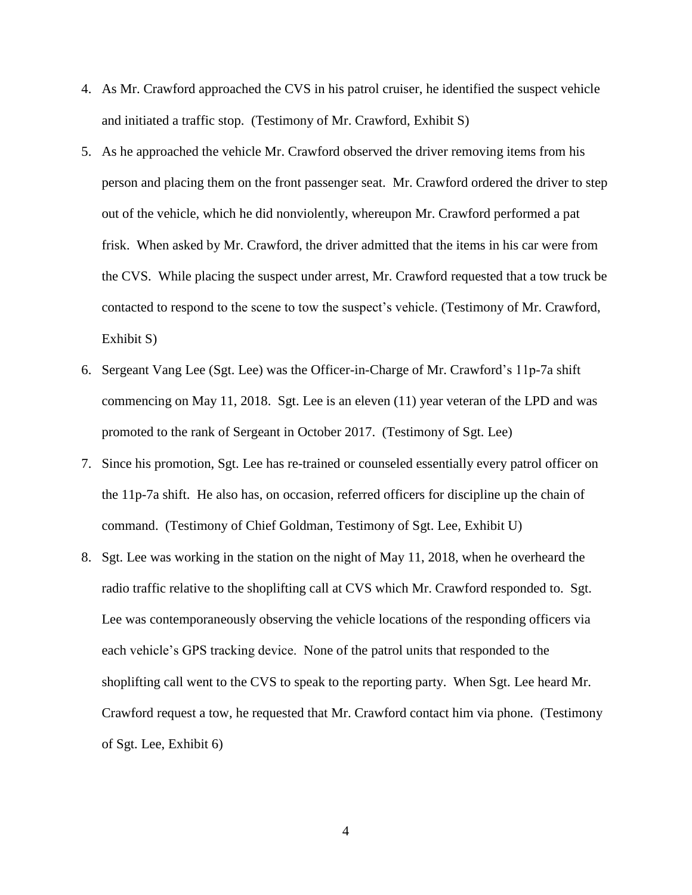- 4. As Mr. Crawford approached the CVS in his patrol cruiser, he identified the suspect vehicle and initiated a traffic stop. (Testimony of Mr. Crawford, Exhibit S)
- 5. As he approached the vehicle Mr. Crawford observed the driver removing items from his person and placing them on the front passenger seat. Mr. Crawford ordered the driver to step out of the vehicle, which he did nonviolently, whereupon Mr. Crawford performed a pat frisk. When asked by Mr. Crawford, the driver admitted that the items in his car were from the CVS. While placing the suspect under arrest, Mr. Crawford requested that a tow truck be contacted to respond to the scene to tow the suspect's vehicle. (Testimony of Mr. Crawford, Exhibit S)
- 6. Sergeant Vang Lee (Sgt. Lee) was the Officer-in-Charge of Mr. Crawford's 11p-7a shift commencing on May 11, 2018. Sgt. Lee is an eleven (11) year veteran of the LPD and was promoted to the rank of Sergeant in October 2017. (Testimony of Sgt. Lee)
- 7. Since his promotion, Sgt. Lee has re-trained or counseled essentially every patrol officer on the 11p-7a shift. He also has, on occasion, referred officers for discipline up the chain of command. (Testimony of Chief Goldman, Testimony of Sgt. Lee, Exhibit U)
- 8. Sgt. Lee was working in the station on the night of May 11, 2018, when he overheard the radio traffic relative to the shoplifting call at CVS which Mr. Crawford responded to. Sgt. Lee was contemporaneously observing the vehicle locations of the responding officers via each vehicle's GPS tracking device. None of the patrol units that responded to the shoplifting call went to the CVS to speak to the reporting party. When Sgt. Lee heard Mr. Crawford request a tow, he requested that Mr. Crawford contact him via phone. (Testimony of Sgt. Lee, Exhibit 6)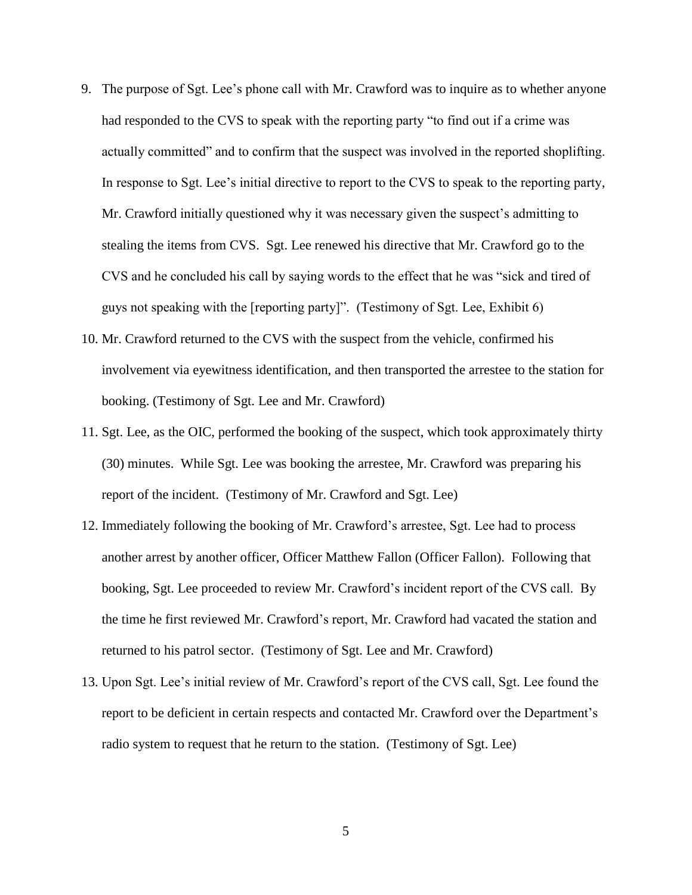- 9. The purpose of Sgt. Lee's phone call with Mr. Crawford was to inquire as to whether anyone had responded to the CVS to speak with the reporting party "to find out if a crime was actually committed" and to confirm that the suspect was involved in the reported shoplifting. In response to Sgt. Lee's initial directive to report to the CVS to speak to the reporting party, Mr. Crawford initially questioned why it was necessary given the suspect's admitting to stealing the items from CVS. Sgt. Lee renewed his directive that Mr. Crawford go to the CVS and he concluded his call by saying words to the effect that he was "sick and tired of guys not speaking with the [reporting party]". (Testimony of Sgt. Lee, Exhibit 6)
- 10. Mr. Crawford returned to the CVS with the suspect from the vehicle, confirmed his involvement via eyewitness identification, and then transported the arrestee to the station for booking. (Testimony of Sgt. Lee and Mr. Crawford)
- 11. Sgt. Lee, as the OIC, performed the booking of the suspect, which took approximately thirty (30) minutes. While Sgt. Lee was booking the arrestee, Mr. Crawford was preparing his report of the incident. (Testimony of Mr. Crawford and Sgt. Lee)
- 12. Immediately following the booking of Mr. Crawford's arrestee, Sgt. Lee had to process another arrest by another officer, Officer Matthew Fallon (Officer Fallon). Following that booking, Sgt. Lee proceeded to review Mr. Crawford's incident report of the CVS call. By the time he first reviewed Mr. Crawford's report, Mr. Crawford had vacated the station and returned to his patrol sector. (Testimony of Sgt. Lee and Mr. Crawford)
- 13. Upon Sgt. Lee's initial review of Mr. Crawford's report of the CVS call, Sgt. Lee found the report to be deficient in certain respects and contacted Mr. Crawford over the Department's radio system to request that he return to the station. (Testimony of Sgt. Lee)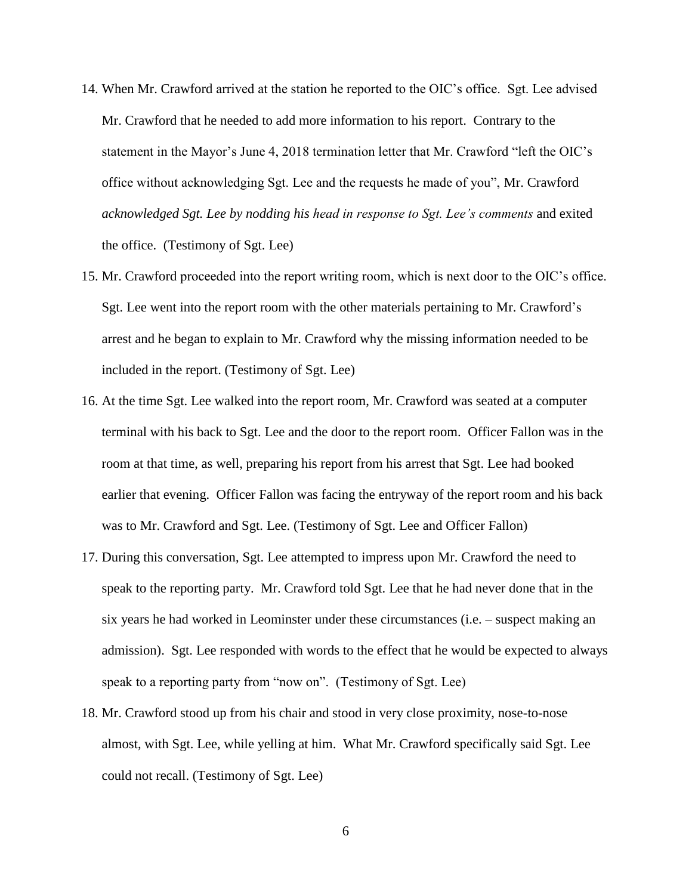- 14. When Mr. Crawford arrived at the station he reported to the OIC's office. Sgt. Lee advised Mr. Crawford that he needed to add more information to his report. Contrary to the statement in the Mayor's June 4, 2018 termination letter that Mr. Crawford "left the OIC's office without acknowledging Sgt. Lee and the requests he made of you", Mr. Crawford *acknowledged Sgt. Lee by nodding his head in response to Sgt. Lee's comments* and exited the office. (Testimony of Sgt. Lee)
- 15. Mr. Crawford proceeded into the report writing room, which is next door to the OIC's office. Sgt. Lee went into the report room with the other materials pertaining to Mr. Crawford's arrest and he began to explain to Mr. Crawford why the missing information needed to be included in the report. (Testimony of Sgt. Lee)
- 16. At the time Sgt. Lee walked into the report room, Mr. Crawford was seated at a computer terminal with his back to Sgt. Lee and the door to the report room. Officer Fallon was in the room at that time, as well, preparing his report from his arrest that Sgt. Lee had booked earlier that evening. Officer Fallon was facing the entryway of the report room and his back was to Mr. Crawford and Sgt. Lee. (Testimony of Sgt. Lee and Officer Fallon)
- 17. During this conversation, Sgt. Lee attempted to impress upon Mr. Crawford the need to speak to the reporting party. Mr. Crawford told Sgt. Lee that he had never done that in the six years he had worked in Leominster under these circumstances (i.e. – suspect making an admission). Sgt. Lee responded with words to the effect that he would be expected to always speak to a reporting party from "now on". (Testimony of Sgt. Lee)
- 18. Mr. Crawford stood up from his chair and stood in very close proximity, nose-to-nose almost, with Sgt. Lee, while yelling at him. What Mr. Crawford specifically said Sgt. Lee could not recall. (Testimony of Sgt. Lee)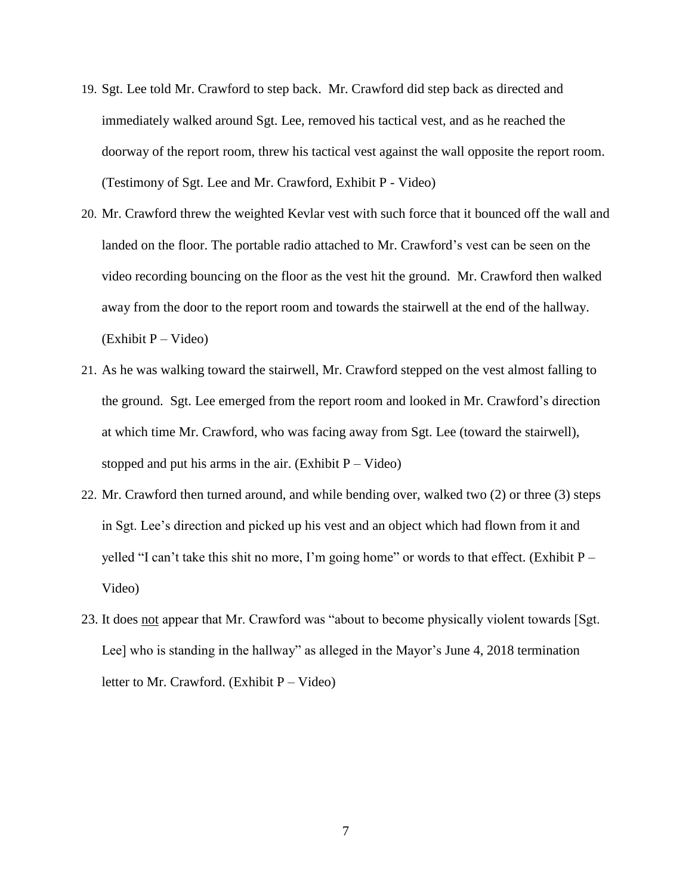- 19. Sgt. Lee told Mr. Crawford to step back. Mr. Crawford did step back as directed and immediately walked around Sgt. Lee, removed his tactical vest, and as he reached the doorway of the report room, threw his tactical vest against the wall opposite the report room. (Testimony of Sgt. Lee and Mr. Crawford, Exhibit P - Video)
- 20. Mr. Crawford threw the weighted Kevlar vest with such force that it bounced off the wall and landed on the floor. The portable radio attached to Mr. Crawford's vest can be seen on the video recording bouncing on the floor as the vest hit the ground. Mr. Crawford then walked away from the door to the report room and towards the stairwell at the end of the hallway.  $(Exhibit P - Video)$
- 21. As he was walking toward the stairwell, Mr. Crawford stepped on the vest almost falling to the ground. Sgt. Lee emerged from the report room and looked in Mr. Crawford's direction at which time Mr. Crawford, who was facing away from Sgt. Lee (toward the stairwell), stopped and put his arms in the air. (Exhibit  $P - Video$ )
- 22. Mr. Crawford then turned around, and while bending over, walked two (2) or three (3) steps in Sgt. Lee's direction and picked up his vest and an object which had flown from it and yelled "I can't take this shit no more, I'm going home" or words to that effect. (Exhibit  $P -$ Video)
- 23. It does not appear that Mr. Crawford was "about to become physically violent towards [Sgt. Lee] who is standing in the hallway" as alleged in the Mayor's June 4, 2018 termination letter to Mr. Crawford. (Exhibit P – Video)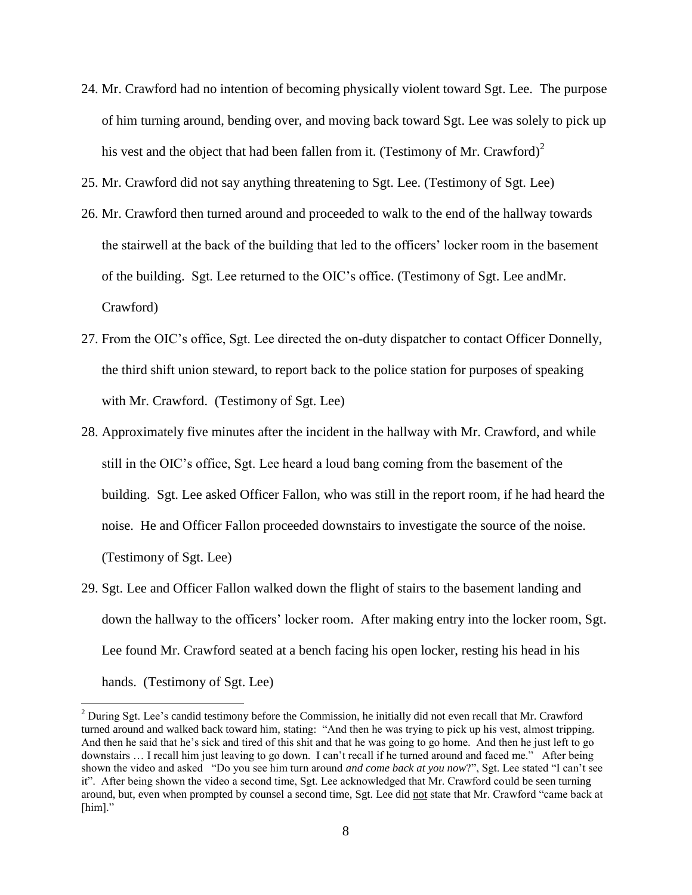- 24. Mr. Crawford had no intention of becoming physically violent toward Sgt. Lee. The purpose of him turning around, bending over, and moving back toward Sgt. Lee was solely to pick up his vest and the object that had been fallen from it. (Testimony of Mr. Crawford)<sup>2</sup>
- 25. Mr. Crawford did not say anything threatening to Sgt. Lee. (Testimony of Sgt. Lee)
- 26. Mr. Crawford then turned around and proceeded to walk to the end of the hallway towards the stairwell at the back of the building that led to the officers' locker room in the basement of the building. Sgt. Lee returned to the OIC's office. (Testimony of Sgt. Lee andMr. Crawford)
- 27. From the OIC's office, Sgt. Lee directed the on-duty dispatcher to contact Officer Donnelly, the third shift union steward, to report back to the police station for purposes of speaking with Mr. Crawford. (Testimony of Sgt. Lee)
- 28. Approximately five minutes after the incident in the hallway with Mr. Crawford, and while still in the OIC's office, Sgt. Lee heard a loud bang coming from the basement of the building. Sgt. Lee asked Officer Fallon, who was still in the report room, if he had heard the noise. He and Officer Fallon proceeded downstairs to investigate the source of the noise. (Testimony of Sgt. Lee)
- 29. Sgt. Lee and Officer Fallon walked down the flight of stairs to the basement landing and down the hallway to the officers' locker room. After making entry into the locker room, Sgt. Lee found Mr. Crawford seated at a bench facing his open locker, resting his head in his hands. (Testimony of Sgt. Lee)

 $\overline{a}$ 

<sup>&</sup>lt;sup>2</sup> During Sgt. Lee's candid testimony before the Commission, he initially did not even recall that Mr. Crawford turned around and walked back toward him, stating: "And then he was trying to pick up his vest, almost tripping. And then he said that he's sick and tired of this shit and that he was going to go home. And then he just left to go downstairs … I recall him just leaving to go down. I can't recall if he turned around and faced me." After being shown the video and asked "Do you see him turn around *and come back at you now*?", Sgt. Lee stated "I can't see it". After being shown the video a second time, Sgt. Lee acknowledged that Mr. Crawford could be seen turning around, but, even when prompted by counsel a second time, Sgt. Lee did not state that Mr. Crawford "came back at [him]."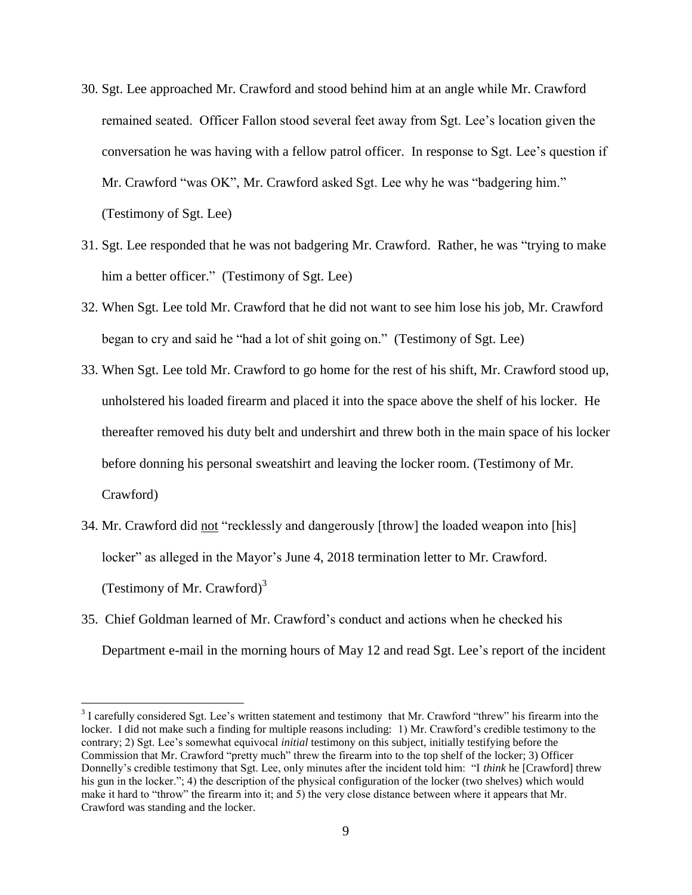- 30. Sgt. Lee approached Mr. Crawford and stood behind him at an angle while Mr. Crawford remained seated. Officer Fallon stood several feet away from Sgt. Lee's location given the conversation he was having with a fellow patrol officer. In response to Sgt. Lee's question if Mr. Crawford "was OK", Mr. Crawford asked Sgt. Lee why he was "badgering him." (Testimony of Sgt. Lee)
- 31. Sgt. Lee responded that he was not badgering Mr. Crawford. Rather, he was "trying to make him a better officer." (Testimony of Sgt. Lee)
- 32. When Sgt. Lee told Mr. Crawford that he did not want to see him lose his job, Mr. Crawford began to cry and said he "had a lot of shit going on." (Testimony of Sgt. Lee)
- 33. When Sgt. Lee told Mr. Crawford to go home for the rest of his shift, Mr. Crawford stood up, unholstered his loaded firearm and placed it into the space above the shelf of his locker. He thereafter removed his duty belt and undershirt and threw both in the main space of his locker before donning his personal sweatshirt and leaving the locker room. (Testimony of Mr. Crawford)
- 34. Mr. Crawford did not "recklessly and dangerously [throw] the loaded weapon into [his] locker" as alleged in the Mayor's June 4, 2018 termination letter to Mr. Crawford. (Testimony of Mr. Crawford) $3$
- 35. Chief Goldman learned of Mr. Crawford's conduct and actions when he checked his Department e-mail in the morning hours of May 12 and read Sgt. Lee's report of the incident

 $\overline{a}$ 

 $3$  I carefully considered Sgt. Lee's written statement and testimony that Mr. Crawford "threw" his firearm into the locker. I did not make such a finding for multiple reasons including: 1) Mr. Crawford's credible testimony to the contrary; 2) Sgt. Lee's somewhat equivocal *initial* testimony on this subject, initially testifying before the Commission that Mr. Crawford "pretty much" threw the firearm into to the top shelf of the locker; 3) Officer Donnelly's credible testimony that Sgt. Lee, only minutes after the incident told him: "I *think* he [Crawford] threw his gun in the locker."; 4) the description of the physical configuration of the locker (two shelves) which would make it hard to "throw" the firearm into it; and 5) the very close distance between where it appears that Mr. Crawford was standing and the locker.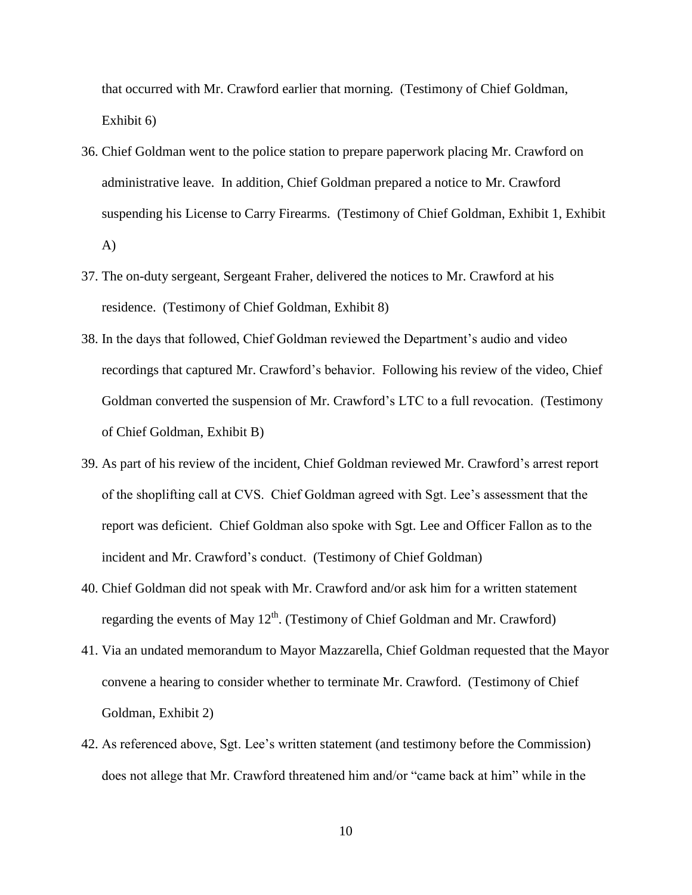that occurred with Mr. Crawford earlier that morning. (Testimony of Chief Goldman, Exhibit 6)

- 36. Chief Goldman went to the police station to prepare paperwork placing Mr. Crawford on administrative leave. In addition, Chief Goldman prepared a notice to Mr. Crawford suspending his License to Carry Firearms. (Testimony of Chief Goldman, Exhibit 1, Exhibit A)
- 37. The on-duty sergeant, Sergeant Fraher, delivered the notices to Mr. Crawford at his residence. (Testimony of Chief Goldman, Exhibit 8)
- 38. In the days that followed, Chief Goldman reviewed the Department's audio and video recordings that captured Mr. Crawford's behavior. Following his review of the video, Chief Goldman converted the suspension of Mr. Crawford's LTC to a full revocation. (Testimony of Chief Goldman, Exhibit B)
- 39. As part of his review of the incident, Chief Goldman reviewed Mr. Crawford's arrest report of the shoplifting call at CVS. Chief Goldman agreed with Sgt. Lee's assessment that the report was deficient. Chief Goldman also spoke with Sgt. Lee and Officer Fallon as to the incident and Mr. Crawford's conduct. (Testimony of Chief Goldman)
- 40. Chief Goldman did not speak with Mr. Crawford and/or ask him for a written statement regarding the events of May  $12^{th}$ . (Testimony of Chief Goldman and Mr. Crawford)
- 41. Via an undated memorandum to Mayor Mazzarella, Chief Goldman requested that the Mayor convene a hearing to consider whether to terminate Mr. Crawford. (Testimony of Chief Goldman, Exhibit 2)
- 42. As referenced above, Sgt. Lee's written statement (and testimony before the Commission) does not allege that Mr. Crawford threatened him and/or "came back at him" while in the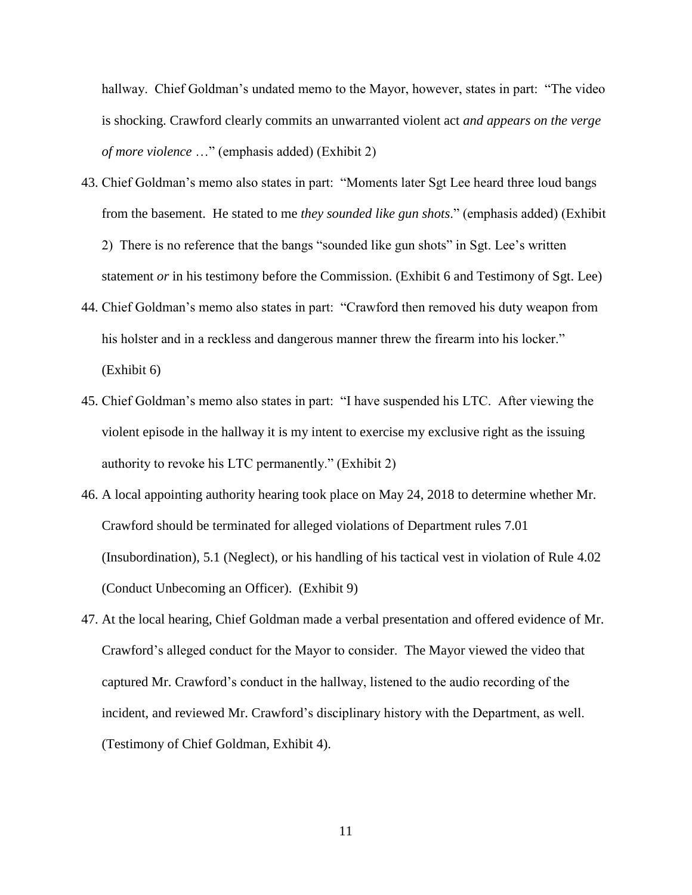hallway. Chief Goldman's undated memo to the Mayor, however, states in part: "The video is shocking. Crawford clearly commits an unwarranted violent act *and appears on the verge of more violence* …" (emphasis added) (Exhibit 2)

- 43. Chief Goldman's memo also states in part: "Moments later Sgt Lee heard three loud bangs from the basement. He stated to me *they sounded like gun shots*." (emphasis added) (Exhibit 2) There is no reference that the bangs "sounded like gun shots" in Sgt. Lee's written statement *or* in his testimony before the Commission. (Exhibit 6 and Testimony of Sgt. Lee)
- 44. Chief Goldman's memo also states in part: "Crawford then removed his duty weapon from his holster and in a reckless and dangerous manner threw the firearm into his locker." (Exhibit 6)
- 45. Chief Goldman's memo also states in part: "I have suspended his LTC. After viewing the violent episode in the hallway it is my intent to exercise my exclusive right as the issuing authority to revoke his LTC permanently." (Exhibit 2)
- 46. A local appointing authority hearing took place on May 24, 2018 to determine whether Mr. Crawford should be terminated for alleged violations of Department rules 7.01 (Insubordination), 5.1 (Neglect), or his handling of his tactical vest in violation of Rule 4.02 (Conduct Unbecoming an Officer). (Exhibit 9)
- 47. At the local hearing, Chief Goldman made a verbal presentation and offered evidence of Mr. Crawford's alleged conduct for the Mayor to consider. The Mayor viewed the video that captured Mr. Crawford's conduct in the hallway, listened to the audio recording of the incident, and reviewed Mr. Crawford's disciplinary history with the Department, as well. (Testimony of Chief Goldman, Exhibit 4).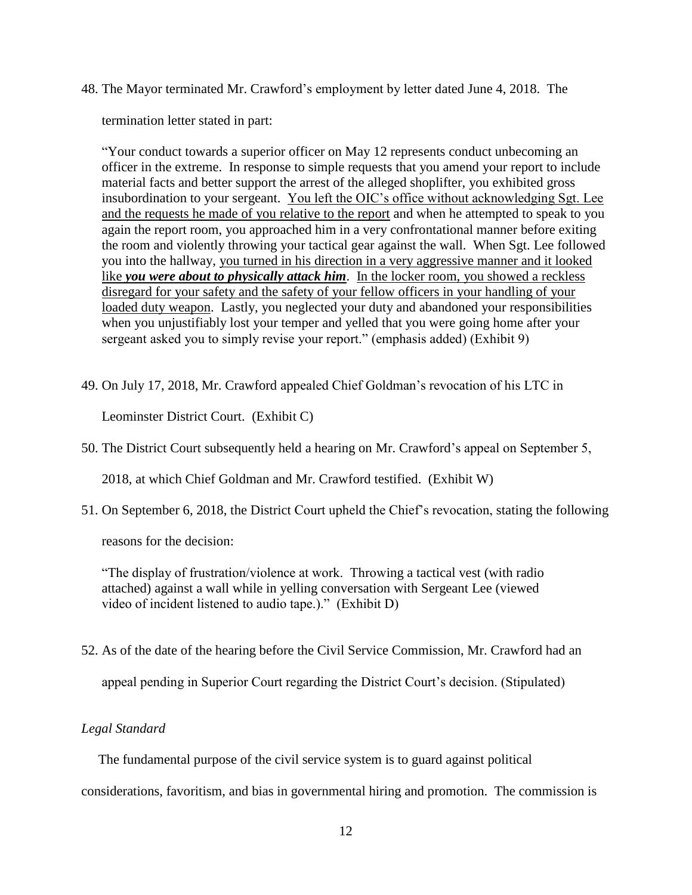48. The Mayor terminated Mr. Crawford's employment by letter dated June 4, 2018. The

termination letter stated in part:

"Your conduct towards a superior officer on May 12 represents conduct unbecoming an officer in the extreme. In response to simple requests that you amend your report to include material facts and better support the arrest of the alleged shoplifter, you exhibited gross insubordination to your sergeant. You left the OIC's office without acknowledging Sgt. Lee and the requests he made of you relative to the report and when he attempted to speak to you again the report room, you approached him in a very confrontational manner before exiting the room and violently throwing your tactical gear against the wall. When Sgt. Lee followed you into the hallway, you turned in his direction in a very aggressive manner and it looked like *you were about to physically attack him*. In the locker room, you showed a reckless disregard for your safety and the safety of your fellow officers in your handling of your loaded duty weapon. Lastly, you neglected your duty and abandoned your responsibilities when you unjustifiably lost your temper and yelled that you were going home after your sergeant asked you to simply revise your report." (emphasis added) (Exhibit 9)

49. On July 17, 2018, Mr. Crawford appealed Chief Goldman's revocation of his LTC in

Leominster District Court. (Exhibit C)

50. The District Court subsequently held a hearing on Mr. Crawford's appeal on September 5,

2018, at which Chief Goldman and Mr. Crawford testified. (Exhibit W)

51. On September 6, 2018, the District Court upheld the Chief's revocation, stating the following

reasons for the decision:

"The display of frustration/violence at work. Throwing a tactical vest (with radio attached) against a wall while in yelling conversation with Sergeant Lee (viewed video of incident listened to audio tape.)." (Exhibit D)

52. As of the date of the hearing before the Civil Service Commission, Mr. Crawford had an

appeal pending in Superior Court regarding the District Court's decision. (Stipulated)

## *Legal Standard*

The fundamental purpose of the civil service system is to guard against political

considerations, favoritism, and bias in governmental hiring and promotion. The commission is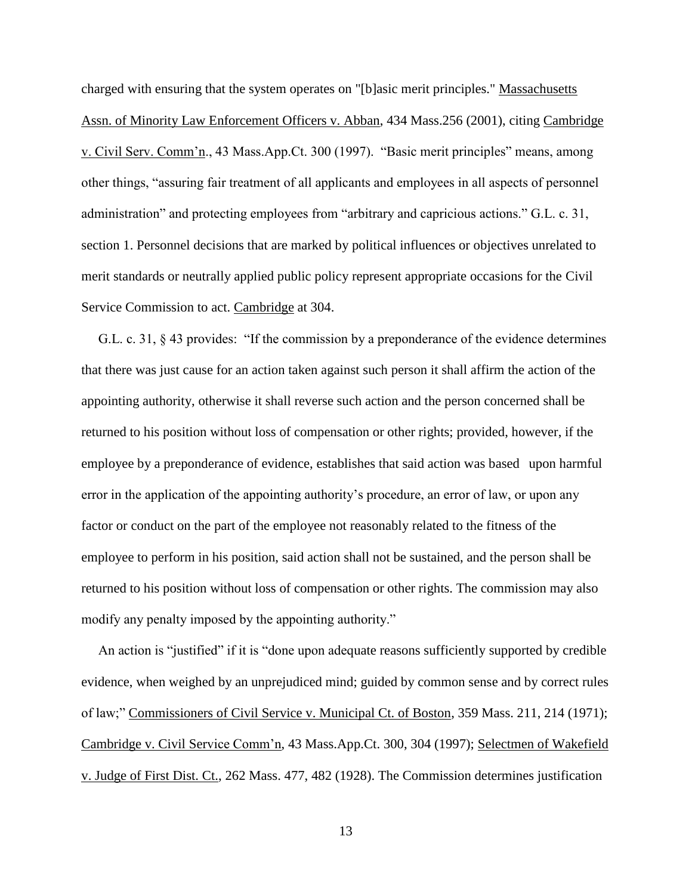charged with ensuring that the system operates on "[b]asic merit principles." Massachusetts Assn. of Minority Law Enforcement Officers v. Abban, 434 Mass.256 (2001), citing Cambridge v. Civil Serv. Comm'n., 43 Mass.App.Ct. 300 (1997). "Basic merit principles" means, among other things, "assuring fair treatment of all applicants and employees in all aspects of personnel administration" and protecting employees from "arbitrary and capricious actions." G.L. c. 31, section 1. Personnel decisions that are marked by political influences or objectives unrelated to merit standards or neutrally applied public policy represent appropriate occasions for the Civil Service Commission to act. Cambridge at 304.

 G.L. c. 31, § 43 provides: "If the commission by a preponderance of the evidence determines that there was just cause for an action taken against such person it shall affirm the action of the appointing authority, otherwise it shall reverse such action and the person concerned shall be returned to his position without loss of compensation or other rights; provided, however, if the employee by a preponderance of evidence, establishes that said action was based upon harmful error in the application of the appointing authority's procedure, an error of law, or upon any factor or conduct on the part of the employee not reasonably related to the fitness of the employee to perform in his position, said action shall not be sustained, and the person shall be returned to his position without loss of compensation or other rights. The commission may also modify any penalty imposed by the appointing authority."

 An action is "justified" if it is "done upon adequate reasons sufficiently supported by credible evidence, when weighed by an unprejudiced mind; guided by common sense and by correct rules of law;" Commissioners of Civil Service v. Municipal Ct. of Boston, 359 Mass. 211, 214 (1971); Cambridge v. Civil Service Comm'n, 43 Mass.App.Ct. 300, 304 (1997); Selectmen of Wakefield v. Judge of First Dist. Ct., 262 Mass. 477, 482 (1928). The Commission determines justification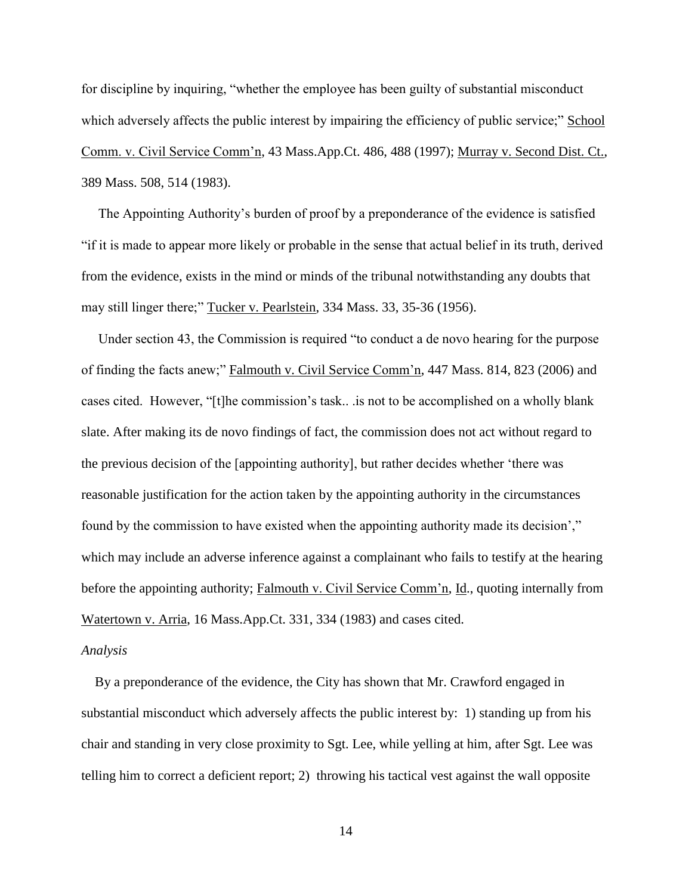for discipline by inquiring, "whether the employee has been guilty of substantial misconduct which adversely affects the public interest by impairing the efficiency of public service;" School Comm. v. Civil Service Comm'n, 43 Mass.App.Ct. 486, 488 (1997); Murray v. Second Dist. Ct., 389 Mass. 508, 514 (1983).

 The Appointing Authority's burden of proof by a preponderance of the evidence is satisfied "if it is made to appear more likely or probable in the sense that actual belief in its truth, derived from the evidence, exists in the mind or minds of the tribunal notwithstanding any doubts that may still linger there;" Tucker v. Pearlstein, 334 Mass. 33, 35-36 (1956).

 Under section 43, the Commission is required "to conduct a de novo hearing for the purpose of finding the facts anew;" Falmouth v. Civil Service Comm'n, 447 Mass. 814, 823 (2006) and cases cited. However, "[t]he commission's task.. .is not to be accomplished on a wholly blank slate. After making its de novo findings of fact, the commission does not act without regard to the previous decision of the [appointing authority], but rather decides whether 'there was reasonable justification for the action taken by the appointing authority in the circumstances found by the commission to have existed when the appointing authority made its decision'," which may include an adverse inference against a complainant who fails to testify at the hearing before the appointing authority; Falmouth v. Civil Service Comm'n, Id., quoting internally from Watertown v. Arria, 16 Mass.App.Ct. 331, 334 (1983) and cases cited.

#### *Analysis*

 By a preponderance of the evidence, the City has shown that Mr. Crawford engaged in substantial misconduct which adversely affects the public interest by: 1) standing up from his chair and standing in very close proximity to Sgt. Lee, while yelling at him, after Sgt. Lee was telling him to correct a deficient report; 2) throwing his tactical vest against the wall opposite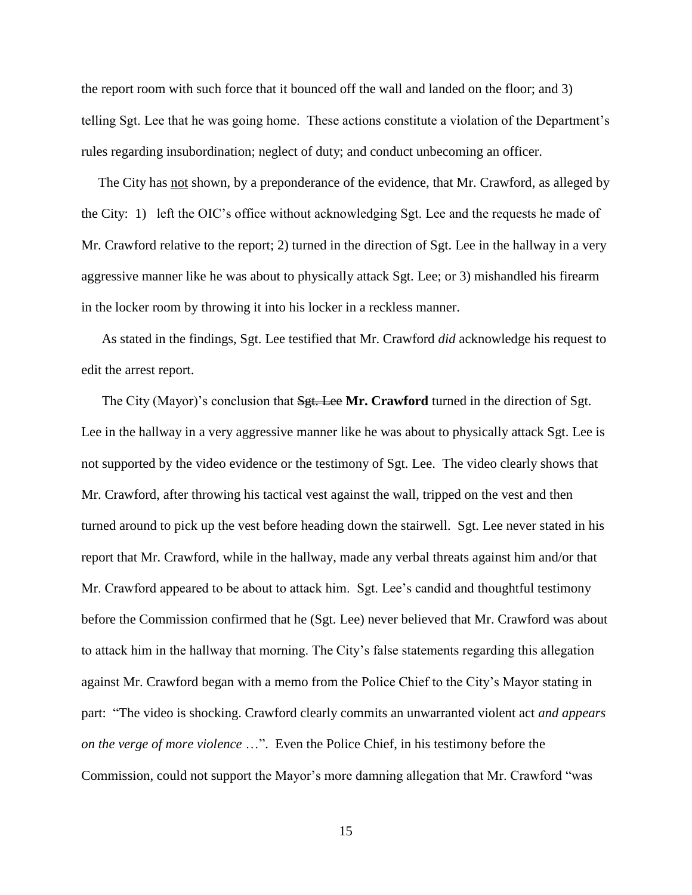the report room with such force that it bounced off the wall and landed on the floor; and 3) telling Sgt. Lee that he was going home. These actions constitute a violation of the Department's rules regarding insubordination; neglect of duty; and conduct unbecoming an officer.

 The City has not shown, by a preponderance of the evidence, that Mr. Crawford, as alleged by the City: 1) left the OIC's office without acknowledging Sgt. Lee and the requests he made of Mr. Crawford relative to the report; 2) turned in the direction of Sgt. Lee in the hallway in a very aggressive manner like he was about to physically attack Sgt. Lee; or 3) mishandled his firearm in the locker room by throwing it into his locker in a reckless manner.

 As stated in the findings, Sgt. Lee testified that Mr. Crawford *did* acknowledge his request to edit the arrest report.

The City (Mayor)'s conclusion that  $\frac{Sgt}{S}$ . Lee Mr. Crawford turned in the direction of Sgt. Lee in the hallway in a very aggressive manner like he was about to physically attack Sgt. Lee is not supported by the video evidence or the testimony of Sgt. Lee. The video clearly shows that Mr. Crawford, after throwing his tactical vest against the wall, tripped on the vest and then turned around to pick up the vest before heading down the stairwell. Sgt. Lee never stated in his report that Mr. Crawford, while in the hallway, made any verbal threats against him and/or that Mr. Crawford appeared to be about to attack him. Sgt. Lee's candid and thoughtful testimony before the Commission confirmed that he (Sgt. Lee) never believed that Mr. Crawford was about to attack him in the hallway that morning. The City's false statements regarding this allegation against Mr. Crawford began with a memo from the Police Chief to the City's Mayor stating in part: "The video is shocking. Crawford clearly commits an unwarranted violent act *and appears on the verge of more violence* …". Even the Police Chief, in his testimony before the Commission, could not support the Mayor's more damning allegation that Mr. Crawford "was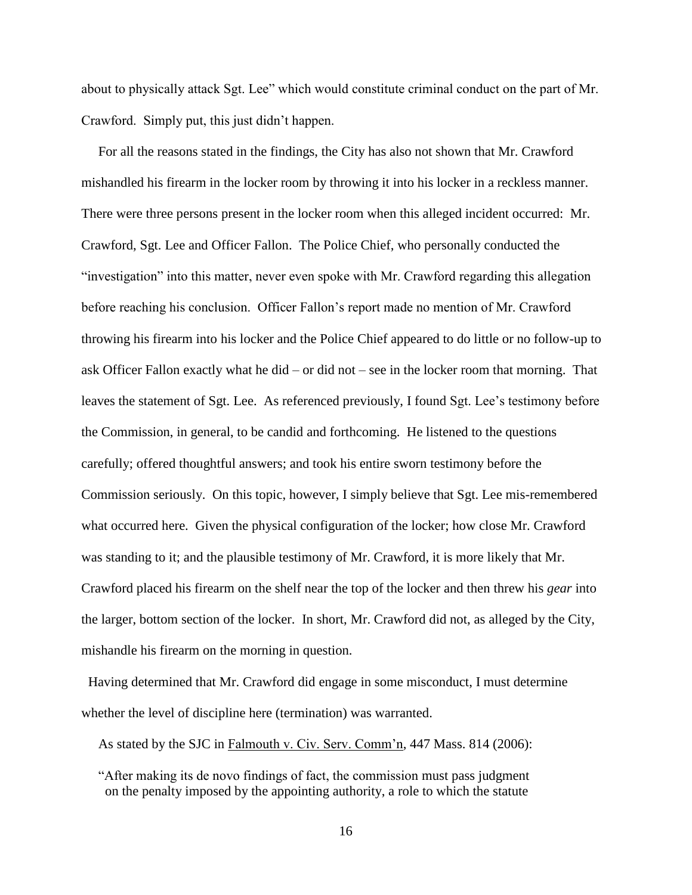about to physically attack Sgt. Lee" which would constitute criminal conduct on the part of Mr. Crawford. Simply put, this just didn't happen.

 For all the reasons stated in the findings, the City has also not shown that Mr. Crawford mishandled his firearm in the locker room by throwing it into his locker in a reckless manner. There were three persons present in the locker room when this alleged incident occurred: Mr. Crawford, Sgt. Lee and Officer Fallon. The Police Chief, who personally conducted the "investigation" into this matter, never even spoke with Mr. Crawford regarding this allegation before reaching his conclusion. Officer Fallon's report made no mention of Mr. Crawford throwing his firearm into his locker and the Police Chief appeared to do little or no follow-up to ask Officer Fallon exactly what he did – or did not – see in the locker room that morning. That leaves the statement of Sgt. Lee. As referenced previously, I found Sgt. Lee's testimony before the Commission, in general, to be candid and forthcoming. He listened to the questions carefully; offered thoughtful answers; and took his entire sworn testimony before the Commission seriously. On this topic, however, I simply believe that Sgt. Lee mis-remembered what occurred here. Given the physical configuration of the locker; how close Mr. Crawford was standing to it; and the plausible testimony of Mr. Crawford, it is more likely that Mr. Crawford placed his firearm on the shelf near the top of the locker and then threw his *gear* into the larger, bottom section of the locker. In short, Mr. Crawford did not, as alleged by the City, mishandle his firearm on the morning in question.

 Having determined that Mr. Crawford did engage in some misconduct, I must determine whether the level of discipline here (termination) was warranted.

As stated by the SJC in Falmouth v. Civ. Serv. Comm'n, 447 Mass. 814 (2006):

 "After making its de novo findings of fact, the commission must pass judgment on the penalty imposed by the appointing authority, a role to which the statute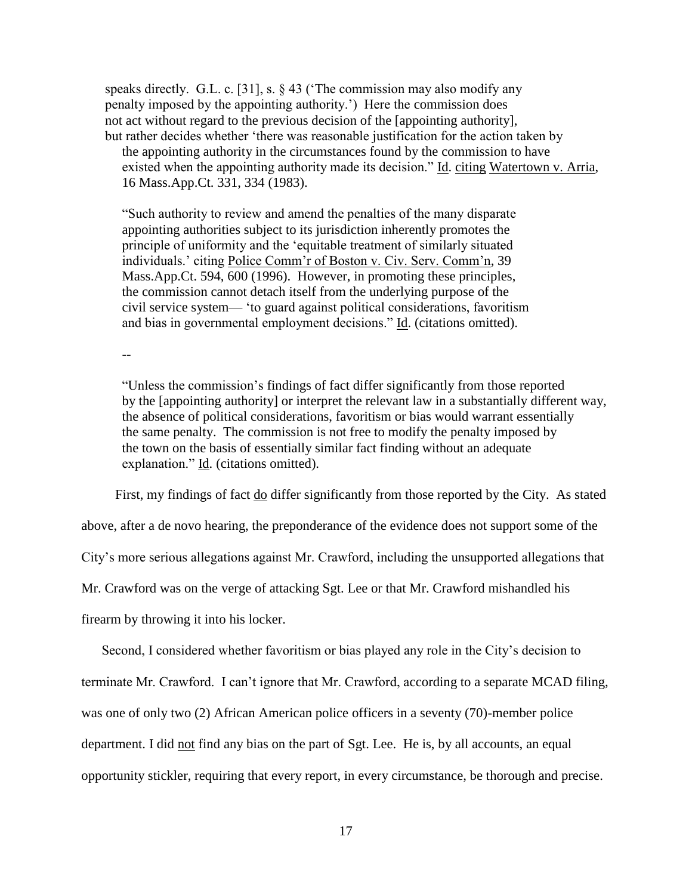speaks directly. G.L. c. [31], s. § 43 ('The commission may also modify any penalty imposed by the appointing authority.') Here the commission does not act without regard to the previous decision of the [appointing authority], but rather decides whether 'there was reasonable justification for the action taken by the appointing authority in the circumstances found by the commission to have

existed when the appointing authority made its decision." Id. citing Watertown v. Arria, 16 Mass.App.Ct. 331, 334 (1983).

"Such authority to review and amend the penalties of the many disparate appointing authorities subject to its jurisdiction inherently promotes the principle of uniformity and the 'equitable treatment of similarly situated individuals.' citing Police Comm'r of Boston v. Civ. Serv. Comm'n, 39 Mass.App.Ct. 594, 600 (1996). However, in promoting these principles, the commission cannot detach itself from the underlying purpose of the civil service system— 'to guard against political considerations, favoritism and bias in governmental employment decisions." Id. (citations omitted).

--

"Unless the commission's findings of fact differ significantly from those reported by the [appointing authority] or interpret the relevant law in a substantially different way, the absence of political considerations, favoritism or bias would warrant essentially the same penalty. The commission is not free to modify the penalty imposed by the town on the basis of essentially similar fact finding without an adequate explanation." Id. (citations omitted).

First, my findings of fact <u>do</u> differ significantly from those reported by the City. As stated

above, after a de novo hearing, the preponderance of the evidence does not support some of the

City's more serious allegations against Mr. Crawford, including the unsupported allegations that

Mr. Crawford was on the verge of attacking Sgt. Lee or that Mr. Crawford mishandled his

firearm by throwing it into his locker.

 Second, I considered whether favoritism or bias played any role in the City's decision to terminate Mr. Crawford. I can't ignore that Mr. Crawford, according to a separate MCAD filing, was one of only two (2) African American police officers in a seventy (70)-member police department. I did not find any bias on the part of Sgt. Lee. He is, by all accounts, an equal opportunity stickler, requiring that every report, in every circumstance, be thorough and precise.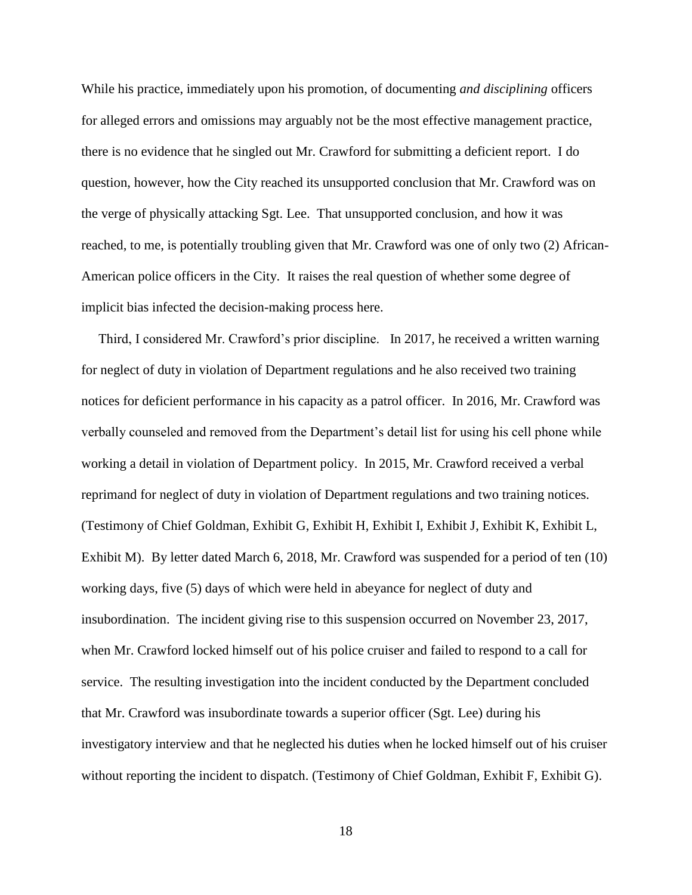While his practice, immediately upon his promotion, of documenting *and disciplining* officers for alleged errors and omissions may arguably not be the most effective management practice, there is no evidence that he singled out Mr. Crawford for submitting a deficient report. I do question, however, how the City reached its unsupported conclusion that Mr. Crawford was on the verge of physically attacking Sgt. Lee. That unsupported conclusion, and how it was reached, to me, is potentially troubling given that Mr. Crawford was one of only two (2) African-American police officers in the City. It raises the real question of whether some degree of implicit bias infected the decision-making process here.

 Third, I considered Mr. Crawford's prior discipline. In 2017, he received a written warning for neglect of duty in violation of Department regulations and he also received two training notices for deficient performance in his capacity as a patrol officer. In 2016, Mr. Crawford was verbally counseled and removed from the Department's detail list for using his cell phone while working a detail in violation of Department policy. In 2015, Mr. Crawford received a verbal reprimand for neglect of duty in violation of Department regulations and two training notices. (Testimony of Chief Goldman, Exhibit G, Exhibit H, Exhibit I, Exhibit J, Exhibit K, Exhibit L, Exhibit M). By letter dated March 6, 2018, Mr. Crawford was suspended for a period of ten (10) working days, five (5) days of which were held in abeyance for neglect of duty and insubordination. The incident giving rise to this suspension occurred on November 23, 2017, when Mr. Crawford locked himself out of his police cruiser and failed to respond to a call for service. The resulting investigation into the incident conducted by the Department concluded that Mr. Crawford was insubordinate towards a superior officer (Sgt. Lee) during his investigatory interview and that he neglected his duties when he locked himself out of his cruiser without reporting the incident to dispatch. (Testimony of Chief Goldman, Exhibit F, Exhibit G).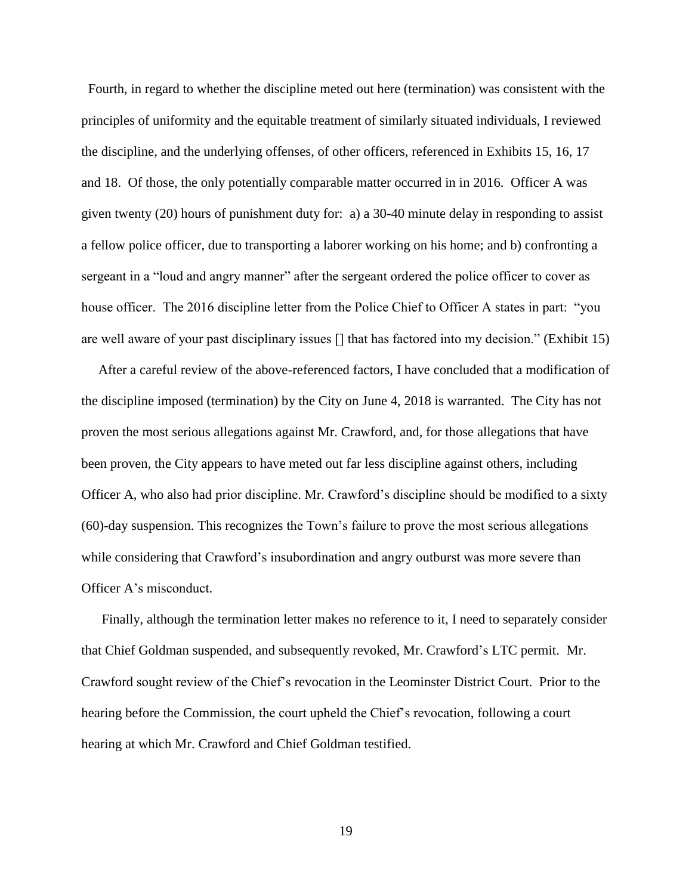Fourth, in regard to whether the discipline meted out here (termination) was consistent with the principles of uniformity and the equitable treatment of similarly situated individuals, I reviewed the discipline, and the underlying offenses, of other officers, referenced in Exhibits 15, 16, 17 and 18. Of those, the only potentially comparable matter occurred in in 2016. Officer A was given twenty (20) hours of punishment duty for: a) a 30-40 minute delay in responding to assist a fellow police officer, due to transporting a laborer working on his home; and b) confronting a sergeant in a "loud and angry manner" after the sergeant ordered the police officer to cover as house officer. The 2016 discipline letter from the Police Chief to Officer A states in part: "you are well aware of your past disciplinary issues [] that has factored into my decision." (Exhibit 15)

 After a careful review of the above-referenced factors, I have concluded that a modification of the discipline imposed (termination) by the City on June 4, 2018 is warranted. The City has not proven the most serious allegations against Mr. Crawford, and, for those allegations that have been proven, the City appears to have meted out far less discipline against others, including Officer A, who also had prior discipline. Mr. Crawford's discipline should be modified to a sixty (60)-day suspension. This recognizes the Town's failure to prove the most serious allegations while considering that Crawford's insubordination and angry outburst was more severe than Officer A's misconduct.

 Finally, although the termination letter makes no reference to it, I need to separately consider that Chief Goldman suspended, and subsequently revoked, Mr. Crawford's LTC permit. Mr. Crawford sought review of the Chief's revocation in the Leominster District Court. Prior to the hearing before the Commission, the court upheld the Chief's revocation, following a court hearing at which Mr. Crawford and Chief Goldman testified.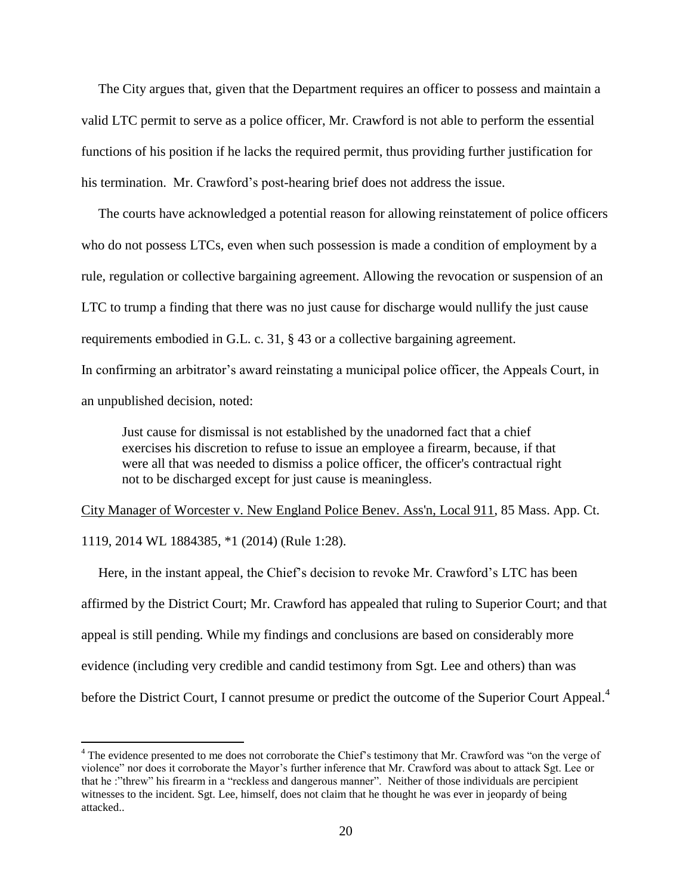The City argues that, given that the Department requires an officer to possess and maintain a valid LTC permit to serve as a police officer, Mr. Crawford is not able to perform the essential functions of his position if he lacks the required permit, thus providing further justification for his termination. Mr. Crawford's post-hearing brief does not address the issue.

 The courts have acknowledged a potential reason for allowing reinstatement of police officers who do not possess LTCs, even when such possession is made a condition of employment by a rule, regulation or collective bargaining agreement. Allowing the revocation or suspension of an LTC to trump a finding that there was no just cause for discharge would nullify the just cause requirements embodied in G.L. c. 31, § 43 or a collective bargaining agreement. In confirming an arbitrator's award reinstating a municipal police officer, the Appeals Court, in

an unpublished decision, noted:

 $\overline{a}$ 

Just cause for dismissal is not established by the unadorned fact that a chief exercises his discretion to refuse to issue an employee a firearm, because, if that were all that was needed to dismiss a police officer, the officer's contractual right not to be discharged except for just cause is meaningless.

City Manager of Worcester v. New England Police Benev. Ass'n, Local 911, 85 Mass. App. Ct. 1119, 2014 WL 1884385, \*1 (2014) (Rule 1:28).

 Here, in the instant appeal, the Chief's decision to revoke Mr. Crawford's LTC has been affirmed by the District Court; Mr. Crawford has appealed that ruling to Superior Court; and that appeal is still pending. While my findings and conclusions are based on considerably more evidence (including very credible and candid testimony from Sgt. Lee and others) than was before the District Court, I cannot presume or predict the outcome of the Superior Court Appeal.<sup>4</sup>

<sup>&</sup>lt;sup>4</sup> The evidence presented to me does not corroborate the Chief's testimony that Mr. Crawford was "on the verge of violence" nor does it corroborate the Mayor's further inference that Mr. Crawford was about to attack Sgt. Lee or that he :"threw" his firearm in a "reckless and dangerous manner". Neither of those individuals are percipient witnesses to the incident. Sgt. Lee, himself, does not claim that he thought he was ever in jeopardy of being attacked..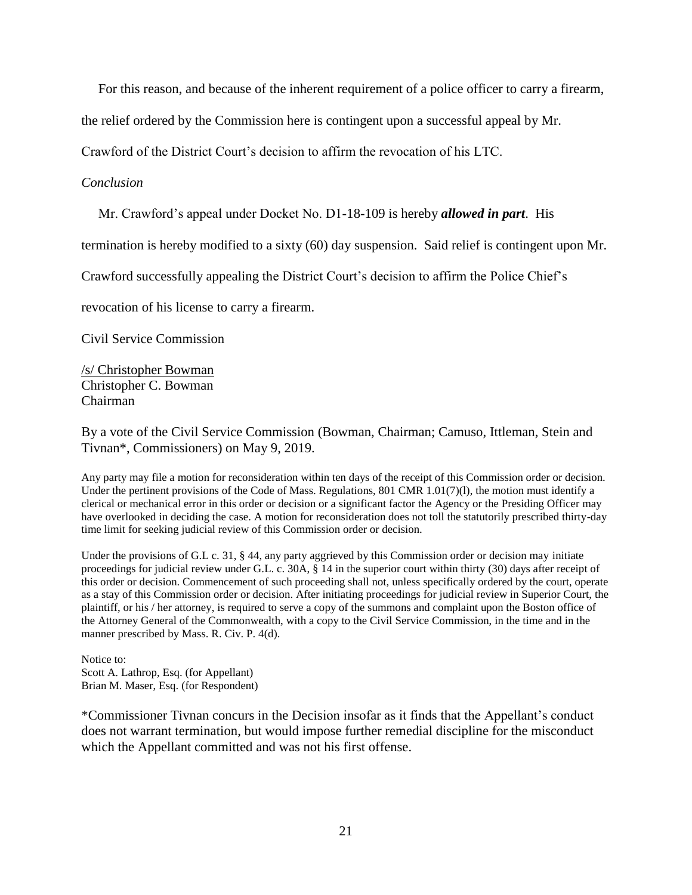For this reason, and because of the inherent requirement of a police officer to carry a firearm,

the relief ordered by the Commission here is contingent upon a successful appeal by Mr.

Crawford of the District Court's decision to affirm the revocation of his LTC.

### *Conclusion*

Mr. Crawford's appeal under Docket No. D1-18-109 is hereby *allowed in part*. His

termination is hereby modified to a sixty (60) day suspension. Said relief is contingent upon Mr.

Crawford successfully appealing the District Court's decision to affirm the Police Chief's

revocation of his license to carry a firearm.

Civil Service Commission

/s/ Christopher Bowman Christopher C. Bowman Chairman

By a vote of the Civil Service Commission (Bowman, Chairman; Camuso, Ittleman, Stein and Tivnan\*, Commissioners) on May 9, 2019.

Any party may file a motion for reconsideration within ten days of the receipt of this Commission order or decision. Under the pertinent provisions of the Code of Mass. Regulations, 801 CMR  $1.01(7)(1)$ , the motion must identify a clerical or mechanical error in this order or decision or a significant factor the Agency or the Presiding Officer may have overlooked in deciding the case. A motion for reconsideration does not toll the statutorily prescribed thirty-day time limit for seeking judicial review of this Commission order or decision.

Under the provisions of G.L c. 31, § 44, any party aggrieved by this Commission order or decision may initiate proceedings for judicial review under G.L. c. 30A, § 14 in the superior court within thirty (30) days after receipt of this order or decision. Commencement of such proceeding shall not, unless specifically ordered by the court, operate as a stay of this Commission order or decision. After initiating proceedings for judicial review in Superior Court, the plaintiff, or his / her attorney, is required to serve a copy of the summons and complaint upon the Boston office of the Attorney General of the Commonwealth, with a copy to the Civil Service Commission, in the time and in the manner prescribed by Mass. R. Civ. P. 4(d).

Notice to: Scott A. Lathrop, Esq. (for Appellant) Brian M. Maser, Esq. (for Respondent)

\*Commissioner Tivnan concurs in the Decision insofar as it finds that the Appellant's conduct does not warrant termination, but would impose further remedial discipline for the misconduct which the Appellant committed and was not his first offense.